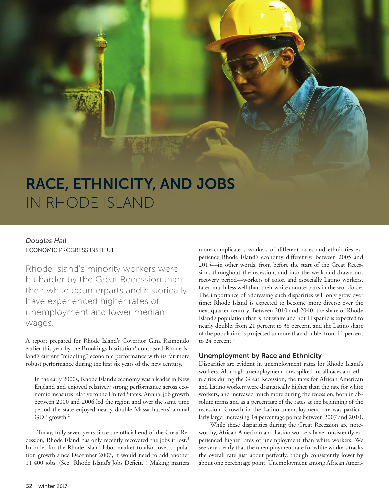## RACE, ETHNICITY, AND JOBS IN RHODE ISLAND

#### *Douglas Hall*

ECONOMIC PROGRESS INSTITUTE

Rhode Island's minority workers were hit harder by the Great Recession than their white counterparts and historically have experienced higher rates of unemployment and lower median wages.

A report prepared for Rhode Island's Governor Gina Raimondo earlier this year by the Brookings Institution<sup>1</sup> contrasted Rhode Island's current "middling" economic performance with its far more robust performance during the first six years of the new century.

In the early 2000s, Rhode Island's economy was a leader in New England and enjoyed relatively strong performance across economic measures relative to the United States. Annual job growth between 2000 and 2006 led the region and over the same time period the state enjoyed nearly double Massachusetts' annual GDP growth. $2$ 

Today, fully seven years since the official end of the Great Recession, Rhode Island has only recently recovered the jobs it lost.<sup>3</sup> In order for the Rhode Island labor market to also cover population growth since December 2007**,** it would need to add another 11,400 jobs. (See "Rhode Island's Jobs Deficit.") Making matters

more complicated, workers of different races and ethnicities experience Rhode Island's economy differently. Between 2005 and 2015—in other words, from before the start of the Great Recession, throughout the recession, and into the weak and drawn-out recovery period—workers of color, and especially Latino workers, fared much less well than their white counterparts in the workforce. The importance of addressing such disparities will only grow over time: Rhode Island is expected to become more diverse over the next quarter-century. Between 2010 and 2040, the share of Rhode Island's population that is not white and not Hispanic is expected to nearly double, from 21 percent to 38 percent, and the Latino share of the population is projected to more than double, from 11 percent to 24 percent.<sup>4</sup>

#### Unemployment by Race and Ethnicity

Disparities are evident in unemployment rates for Rhode Island's workers. Although unemployment rates spiked for all races and ethnicities during the Great Recession, the rates for African American and Latino workers were dramatically higher than the rate for white workers, and increased much more during the recession, both in absolute terms and as a percentage of the rates at the beginning of the recession. Growth in the Latino unemployment rate was particularly large, increasing 14 percentage points between 2007 and 2010.

While these disparities during the Great Recession are noteworthy, African American and Latino workers have consistently experienced higher rates of unemployment than white workers. We see very clearly that the unemployment rate for white workers tracks the overall rate just about perfectly, though consistently lower by about one percentage point. Unemployment among African Ameri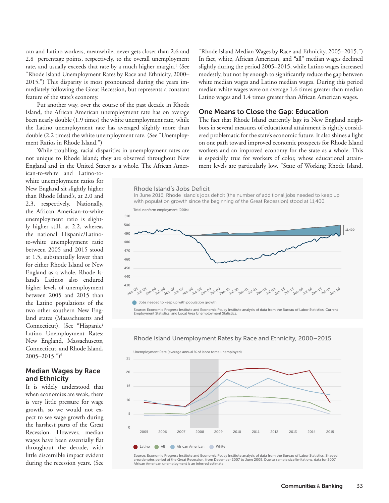can and Latino workers, meanwhile, never gets closer than 2.6 and 2.8 percentage points, respectively, to the overall unemployment rate, and usually exceeds that rate by a much higher margin.<sup>5</sup> (See "Rhode Island Unemployment Rates by Race and Ethnicity, 2000– 2015.") This disparity is most pronounced during the years immediately following the Great Recession, but represents a constant feature of the state's economy.

Put another way, over the course of the past decade in Rhode Island, the African American unemployment rate has on average been nearly double (1.9 times) the white unemployment rate, while the Latino unemployment rate has averaged slightly more than double (2.2 times) the white unemployment rate. (See "Unemployment Ratios in Rhode Island.")

While troubling, racial disparities in unemployment rates are not unique to Rhode Island; they are observed throughout New England and in the United States as a whole. The African Amer-

Rhode Island's Jobs Deficit

ican-to-white and Latino-towhite unemployment ratios for New England sit slightly higher than Rhode Island's, at 2.0 and 2.3, respectively. Nationally, the African American-to-white unemployment ratio is slightly higher still, at 2.2, whereas the national Hispanic/Latinoto-white unemployment ratio between 2005 and 2015 stood at 1.5, substantially lower than for either Rhode Island or New England as a whole. Rhode Island's Latinos also endured higher levels of unemployment between 2005 and 2015 than the Latino populations of the two other southern New England states (Massachusetts and Connecticut). (See "Hispanic/ Latino Unemployment Rates: New England, Massachusetts, Connecticut, and Rhode Island,  $2005 - 2015$ .")<sup>6</sup>

#### Median Wages by Race and Ethnicity

It is widely understood that when economies are weak, there is very little pressure for wage growth, so we would not expect to see wage growth during the harshest parts of the Great Recession. However, median wages have been essentially flat throughout the decade, with little discernible impact evident during the recession years. (See "Rhode Island Median Wages by Race and Ethnicity, 2005–2015.") In fact, white, African American, and "all" median wages declined slightly during the period 2005–2015, while Latino wages increased modestly, but not by enough to significantly reduce the gap between white median wages and Latino median wages. During this period median white wages were on average 1.6 times greater than median Latino wages and 1.4 times greater than African American wages.

#### One Means to Close the Gap: Education

The fact that Rhode Island currently lags its New England neighbors in several measures of educational attainment is rightly considered problematic for the state's economic future. It also shines a light on one path toward improved economic prospects for Rhode Island workers and an improved economy for the state as a whole. This is especially true for workers of color, whose educational attainment levels are particularly low. "State of Working Rhode Island,



In June 2016, Rhode Island's jobs deficit (the number of additional jobs needed to keep up

Source: Economic Progress Institute and Economic Policy Institute analysis of data from the Bureau of Labor Statistics, Current Employment Statistics, and Local Area Unemployment Statistics.

#### Rhode Island Unemployment Rates by Race and Ethnicity, 2000–2015



Source: Economic Progress Institute and Economic Policy Institute analysis of data from the Bureau of Labor Statistics. Shaded area denotes period of the Great Recession, from December 2007 to June 2009. Due to sample size limitations, data for 2007 African American unemployment is an inferred estimate.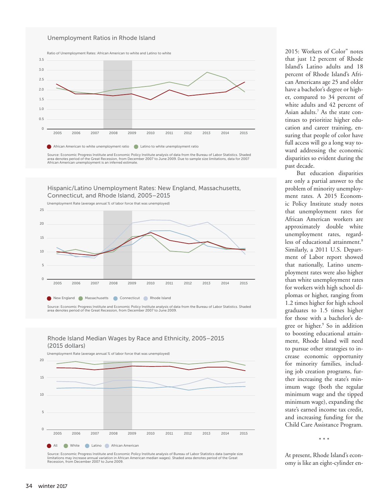#### Unemployment Ratios in Rhode Island



Source: Economic Progress Institute and Economic Policy Institute analysis of data from the Bureau of Labor Statistics. Shaded<br>area denotes period of the Great Recession, from December 2007 to June 2009. Due to sample size

Hispanic/Latino Unemployment Rates: New England, Massachusetts, Connecticut, and Rhode Island, 2005–2015



Source: Economic Progress Institute and Economic Policy Institute analysis of data from the Bureau of Labor Statistics. Shaded area denotes period of the Great Recession, from December 2007 to June 2009.



2015: Workers of Color" notes that just 12 percent of Rhode Island's Latino adults and 18 percent of Rhode Island's African Americans age 25 and older have a bachelor's degree or higher, compared to 34 percent of white adults and 42 percent of Asian adults.7 As the state continues to prioritize higher education and career training, ensuring that people of color have full access will go a long way toward addressing the economic disparities so evident during the past decade.

But education disparities are only a partial answer to the problem of minority unemployment rates. A 2015 Economic Policy Institute study notes that unemployment rates for African American workers are approximately double white unemployment rates, regardless of educational attainment.<sup>8</sup> Similarly, a 2011 U.S. Department of Labor report showed that nationally, Latino unemployment rates were also higher than white unemployment rates for workers with high school diplomas or higher, ranging from 1.2 times higher for high school graduates to 1.5 times higher for those with a bachelor's degree or higher.9 So in addition to boosting educational attainment, Rhode Island will need to pursue other strategies to increase economic opportunity for minority families, including job creation programs, further increasing the state's minimum wage (both the regular minimum wage and the tipped minimum wage), expanding the state's earned income tax credit, and increasing funding for the Child Care Assistance Program.

\* \* \*

At present, Rhode Island's economy is like an eight-cylinder en